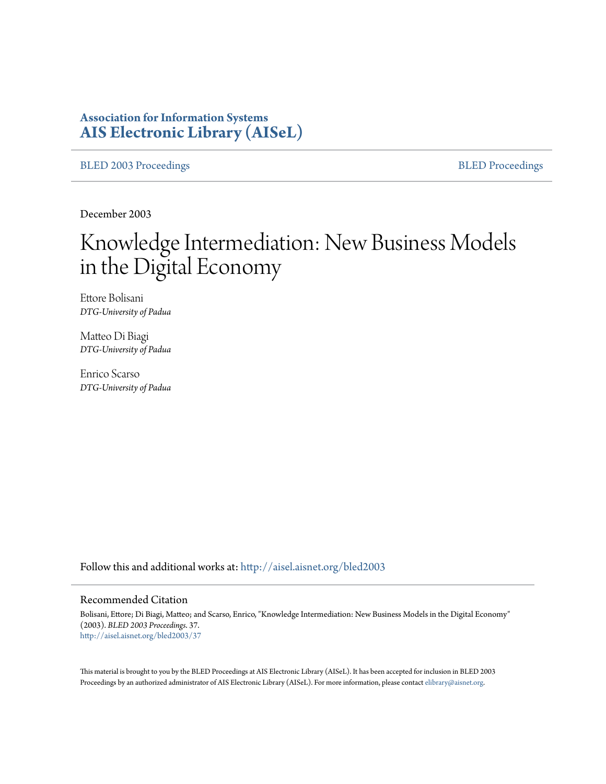## **Association for Information Systems [AIS Electronic Library \(AISeL\)](http://aisel.aisnet.org?utm_source=aisel.aisnet.org%2Fbled2003%2F37&utm_medium=PDF&utm_campaign=PDFCoverPages)**

[BLED 2003 Proceedings](http://aisel.aisnet.org/bled2003?utm_source=aisel.aisnet.org%2Fbled2003%2F37&utm_medium=PDF&utm_campaign=PDFCoverPages) **[BLED Proceedings](http://aisel.aisnet.org/bled?utm_source=aisel.aisnet.org%2Fbled2003%2F37&utm_medium=PDF&utm_campaign=PDFCoverPages)** 

December 2003

# Knowledge Intermediation: New Business Models in the Digital Economy

Ettore Bolisani *DTG-University of Padua*

Matteo Di Biagi *DTG-University of Padua*

Enrico Scarso *DTG-University of Padua*

Follow this and additional works at: [http://aisel.aisnet.org/bled2003](http://aisel.aisnet.org/bled2003?utm_source=aisel.aisnet.org%2Fbled2003%2F37&utm_medium=PDF&utm_campaign=PDFCoverPages)

#### Recommended Citation

Bolisani, Ettore; Di Biagi, Matteo; and Scarso, Enrico, "Knowledge Intermediation: New Business Models in the Digital Economy" (2003). *BLED 2003 Proceedings*. 37. [http://aisel.aisnet.org/bled2003/37](http://aisel.aisnet.org/bled2003/37?utm_source=aisel.aisnet.org%2Fbled2003%2F37&utm_medium=PDF&utm_campaign=PDFCoverPages)

This material is brought to you by the BLED Proceedings at AIS Electronic Library (AISeL). It has been accepted for inclusion in BLED 2003 Proceedings by an authorized administrator of AIS Electronic Library (AISeL). For more information, please contact [elibrary@aisnet.org](mailto:elibrary@aisnet.org%3E).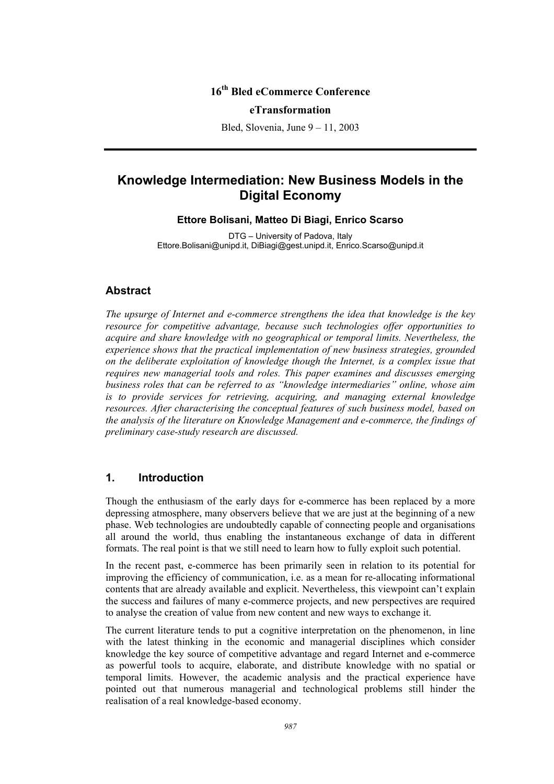## **16th Bled eCommerce Conference**

#### **eTransformation**

Bled, Slovenia, June 9 – 11, 2003

# **Knowledge Intermediation: New Business Models in the Digital Economy**

#### **Ettore Bolisani, Matteo Di Biagi, Enrico Scarso**

DTG – University of Padova, Italy Ettore.Bolisani@unipd.it, DiBiagi@gest.unipd.it, Enrico.Scarso@unipd.it

#### **Abstract**

*The upsurge of Internet and e-commerce strengthens the idea that knowledge is the key resource for competitive advantage, because such technologies offer opportunities to acquire and share knowledge with no geographical or temporal limits. Nevertheless, the experience shows that the practical implementation of new business strategies, grounded on the deliberate exploitation of knowledge though the Internet, is a complex issue that requires new managerial tools and roles. This paper examines and discusses emerging business roles that can be referred to as "knowledge intermediaries" online, whose aim is to provide services for retrieving, acquiring, and managing external knowledge resources. After characterising the conceptual features of such business model, based on the analysis of the literature on Knowledge Management and e-commerce, the findings of preliminary case-study research are discussed.* 

### **1. Introduction**

Though the enthusiasm of the early days for e-commerce has been replaced by a more depressing atmosphere, many observers believe that we are just at the beginning of a new phase. Web technologies are undoubtedly capable of connecting people and organisations all around the world, thus enabling the instantaneous exchange of data in different formats. The real point is that we still need to learn how to fully exploit such potential.

In the recent past, e-commerce has been primarily seen in relation to its potential for improving the efficiency of communication, i.e. as a mean for re-allocating informational contents that are already available and explicit. Nevertheless, this viewpoint can't explain the success and failures of many e-commerce projects, and new perspectives are required to analyse the creation of value from new content and new ways to exchange it.

The current literature tends to put a cognitive interpretation on the phenomenon, in line with the latest thinking in the economic and managerial disciplines which consider knowledge the key source of competitive advantage and regard Internet and e-commerce as powerful tools to acquire, elaborate, and distribute knowledge with no spatial or temporal limits. However, the academic analysis and the practical experience have pointed out that numerous managerial and technological problems still hinder the realisation of a real knowledge-based economy.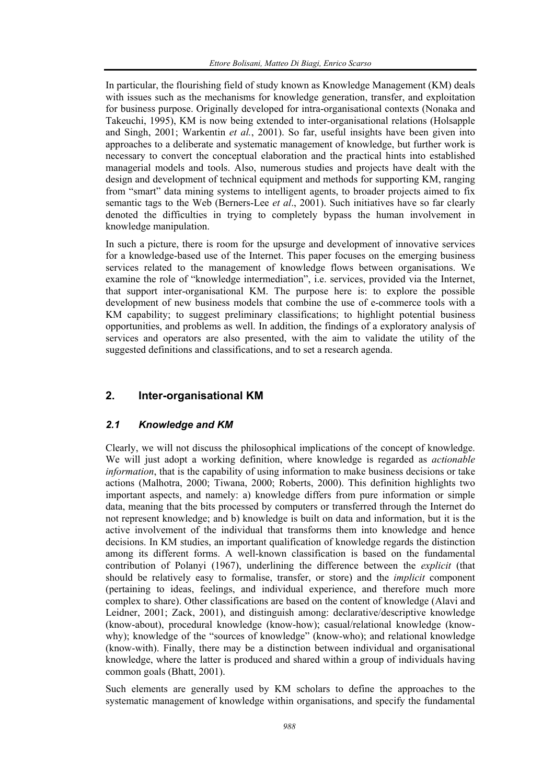In particular, the flourishing field of study known as Knowledge Management (KM) deals with issues such as the mechanisms for knowledge generation, transfer, and exploitation for business purpose. Originally developed for intra-organisational contexts (Nonaka and Takeuchi, 1995), KM is now being extended to inter-organisational relations (Holsapple and Singh, 2001; Warkentin *et al.*, 2001). So far, useful insights have been given into approaches to a deliberate and systematic management of knowledge, but further work is necessary to convert the conceptual elaboration and the practical hints into established managerial models and tools. Also, numerous studies and projects have dealt with the design and development of technical equipment and methods for supporting KM, ranging from "smart" data mining systems to intelligent agents, to broader projects aimed to fix semantic tags to the Web (Berners-Lee *et al*., 2001). Such initiatives have so far clearly denoted the difficulties in trying to completely bypass the human involvement in knowledge manipulation.

In such a picture, there is room for the upsurge and development of innovative services for a knowledge-based use of the Internet. This paper focuses on the emerging business services related to the management of knowledge flows between organisations. We examine the role of "knowledge intermediation", i.e. services, provided via the Internet, that support inter-organisational KM. The purpose here is: to explore the possible development of new business models that combine the use of e-commerce tools with a KM capability; to suggest preliminary classifications; to highlight potential business opportunities, and problems as well. In addition, the findings of a exploratory analysis of services and operators are also presented, with the aim to validate the utility of the suggested definitions and classifications, and to set a research agenda.

## **2. Inter-organisational KM**

#### *2.1 Knowledge and KM*

Clearly, we will not discuss the philosophical implications of the concept of knowledge. We will just adopt a working definition, where knowledge is regarded as *actionable information*, that is the capability of using information to make business decisions or take actions (Malhotra, 2000; Tiwana, 2000; Roberts, 2000). This definition highlights two important aspects, and namely: a) knowledge differs from pure information or simple data, meaning that the bits processed by computers or transferred through the Internet do not represent knowledge; and b) knowledge is built on data and information, but it is the active involvement of the individual that transforms them into knowledge and hence decisions. In KM studies, an important qualification of knowledge regards the distinction among its different forms. A well-known classification is based on the fundamental contribution of Polanyi (1967), underlining the difference between the *explicit* (that should be relatively easy to formalise, transfer, or store) and the *implicit* component (pertaining to ideas, feelings, and individual experience, and therefore much more complex to share). Other classifications are based on the content of knowledge (Alavi and Leidner, 2001; Zack, 2001), and distinguish among: declarative/descriptive knowledge (know-about), procedural knowledge (know-how); casual/relational knowledge (knowwhy); knowledge of the "sources of knowledge" (know-who); and relational knowledge (know-with). Finally, there may be a distinction between individual and organisational knowledge, where the latter is produced and shared within a group of individuals having common goals (Bhatt, 2001).

Such elements are generally used by KM scholars to define the approaches to the systematic management of knowledge within organisations, and specify the fundamental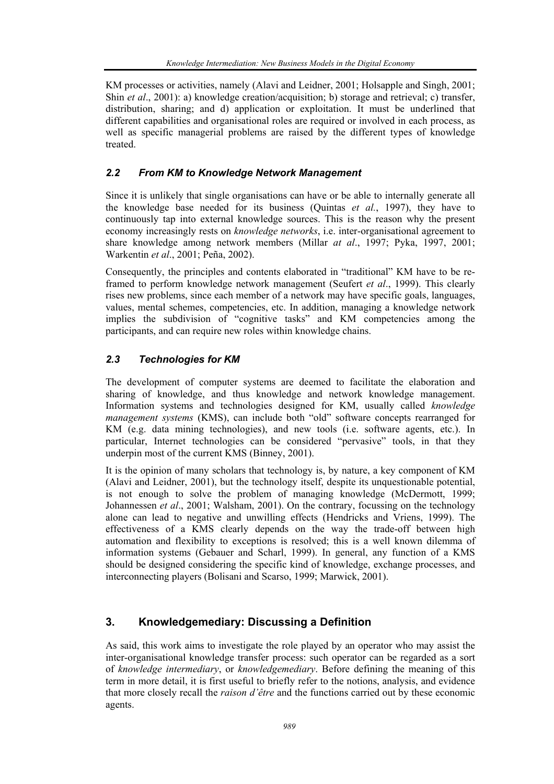KM processes or activities, namely (Alavi and Leidner, 2001; Holsapple and Singh, 2001; Shin *et al*., 2001): a) knowledge creation/acquisition; b) storage and retrieval; c) transfer, distribution, sharing; and d) application or exploitation. It must be underlined that different capabilities and organisational roles are required or involved in each process, as well as specific managerial problems are raised by the different types of knowledge treated.

#### *2.2 From KM to Knowledge Network Management*

Since it is unlikely that single organisations can have or be able to internally generate all the knowledge base needed for its business (Quintas *et al.*, 1997), they have to continuously tap into external knowledge sources. This is the reason why the present economy increasingly rests on *knowledge networks*, i.e. inter-organisational agreement to share knowledge among network members (Millar *at al*., 1997; Pyka, 1997, 2001; Warkentin *et al*., 2001; Peña, 2002).

Consequently, the principles and contents elaborated in "traditional" KM have to be reframed to perform knowledge network management (Seufert *et al*., 1999). This clearly rises new problems, since each member of a network may have specific goals, languages, values, mental schemes, competencies, etc. In addition, managing a knowledge network implies the subdivision of "cognitive tasks" and KM competencies among the participants, and can require new roles within knowledge chains.

## *2.3 Technologies for KM*

The development of computer systems are deemed to facilitate the elaboration and sharing of knowledge, and thus knowledge and network knowledge management. Information systems and technologies designed for KM, usually called *knowledge management systems* (KMS), can include both "old" software concepts rearranged for KM (e.g. data mining technologies), and new tools (i.e. software agents, etc.). In particular, Internet technologies can be considered "pervasive" tools, in that they underpin most of the current KMS (Binney, 2001).

It is the opinion of many scholars that technology is, by nature, a key component of KM (Alavi and Leidner, 2001), but the technology itself, despite its unquestionable potential, is not enough to solve the problem of managing knowledge (McDermott, 1999; Johannessen *et al*., 2001; Walsham, 2001). On the contrary, focussing on the technology alone can lead to negative and unwilling effects (Hendricks and Vriens, 1999). The effectiveness of a KMS clearly depends on the way the trade-off between high automation and flexibility to exceptions is resolved; this is a well known dilemma of information systems (Gebauer and Scharl, 1999). In general, any function of a KMS should be designed considering the specific kind of knowledge, exchange processes, and interconnecting players (Bolisani and Scarso, 1999; Marwick, 2001).

## **3. Knowledgemediary: Discussing a Definition**

As said, this work aims to investigate the role played by an operator who may assist the inter-organisational knowledge transfer process: such operator can be regarded as a sort of *knowledge intermediary*, or *knowledgemediary*. Before defining the meaning of this term in more detail, it is first useful to briefly refer to the notions, analysis, and evidence that more closely recall the *raison d'être* and the functions carried out by these economic agents.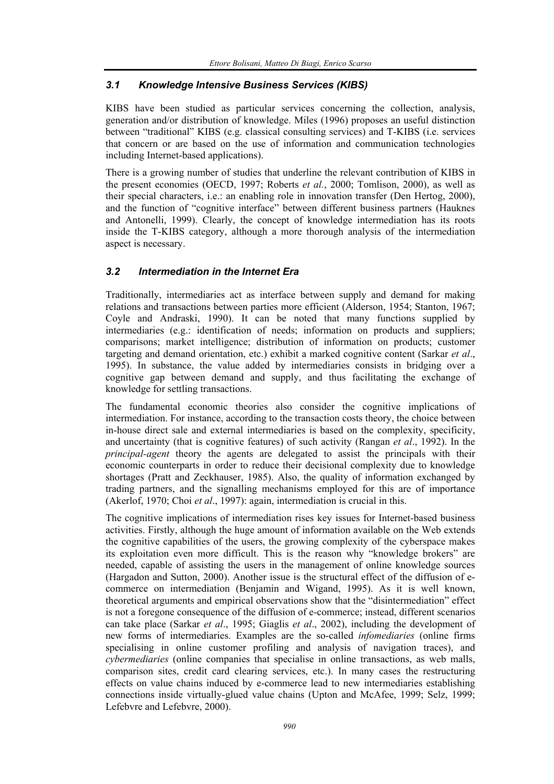#### *3.1 Knowledge Intensive Business Services (KIBS)*

KIBS have been studied as particular services concerning the collection, analysis, generation and/or distribution of knowledge. Miles (1996) proposes an useful distinction between "traditional" KIBS (e.g. classical consulting services) and T-KIBS (i.e. services that concern or are based on the use of information and communication technologies including Internet-based applications).

There is a growing number of studies that underline the relevant contribution of KIBS in the present economies (OECD, 1997; Roberts *et al.*, 2000; Tomlison, 2000), as well as their special characters, i.e.: an enabling role in innovation transfer (Den Hertog, 2000), and the function of "cognitive interface" between different business partners (Hauknes and Antonelli, 1999). Clearly, the concept of knowledge intermediation has its roots inside the T-KIBS category, although a more thorough analysis of the intermediation aspect is necessary.

### *3.2 Intermediation in the Internet Era*

Traditionally, intermediaries act as interface between supply and demand for making relations and transactions between parties more efficient (Alderson, 1954; Stanton, 1967; Coyle and Andraski, 1990). It can be noted that many functions supplied by intermediaries (e.g.: identification of needs; information on products and suppliers; comparisons; market intelligence; distribution of information on products; customer targeting and demand orientation, etc.) exhibit a marked cognitive content (Sarkar *et al*., 1995). In substance, the value added by intermediaries consists in bridging over a cognitive gap between demand and supply, and thus facilitating the exchange of knowledge for settling transactions.

The fundamental economic theories also consider the cognitive implications of intermediation. For instance, according to the transaction costs theory, the choice between in-house direct sale and external intermediaries is based on the complexity, specificity, and uncertainty (that is cognitive features) of such activity (Rangan *et al*., 1992). In the *principal-agent* theory the agents are delegated to assist the principals with their economic counterparts in order to reduce their decisional complexity due to knowledge shortages (Pratt and Zeckhauser, 1985). Also, the quality of information exchanged by trading partners, and the signalling mechanisms employed for this are of importance (Akerlof, 1970; Choi *et al*., 1997): again, intermediation is crucial in this.

The cognitive implications of intermediation rises key issues for Internet-based business activities. Firstly, although the huge amount of information available on the Web extends the cognitive capabilities of the users, the growing complexity of the cyberspace makes its exploitation even more difficult. This is the reason why "knowledge brokers" are needed, capable of assisting the users in the management of online knowledge sources (Hargadon and Sutton, 2000). Another issue is the structural effect of the diffusion of ecommerce on intermediation (Benjamin and Wigand, 1995). As it is well known, theoretical arguments and empirical observations show that the "disintermediation" effect is not a foregone consequence of the diffusion of e-commerce; instead, different scenarios can take place (Sarkar *et al*., 1995; Giaglis *et al*., 2002), including the development of new forms of intermediaries. Examples are the so-called *infomediaries* (online firms specialising in online customer profiling and analysis of navigation traces), and *cybermediaries* (online companies that specialise in online transactions, as web malls, comparison sites, credit card clearing services, etc.). In many cases the restructuring effects on value chains induced by e-commerce lead to new intermediaries establishing connections inside virtually-glued value chains (Upton and McAfee, 1999; Selz, 1999; Lefebvre and Lefebvre, 2000).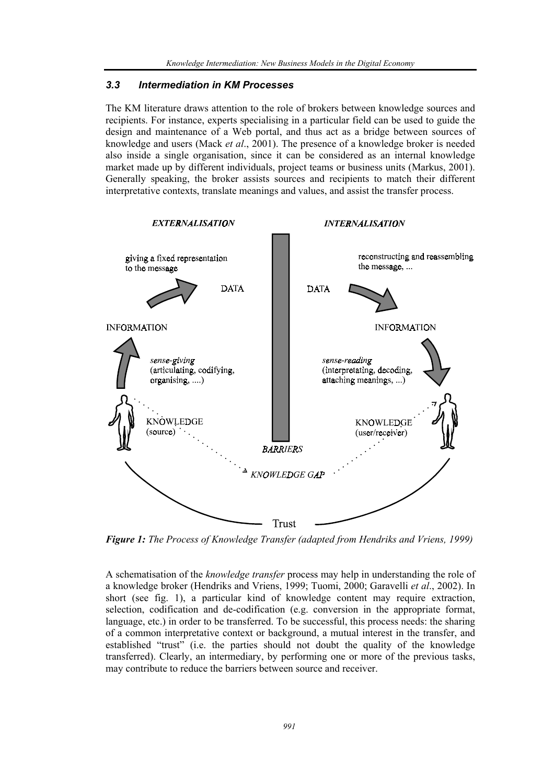#### *3.3 Intermediation in KM Processes*

The KM literature draws attention to the role of brokers between knowledge sources and recipients. For instance, experts specialising in a particular field can be used to guide the design and maintenance of a Web portal, and thus act as a bridge between sources of knowledge and users (Mack *et al*., 2001). The presence of a knowledge broker is needed also inside a single organisation, since it can be considered as an internal knowledge market made up by different individuals, project teams or business units (Markus, 2001). Generally speaking, the broker assists sources and recipients to match their different interpretative contexts, translate meanings and values, and assist the transfer process.



*Figure 1: The Process of Knowledge Transfer (adapted from Hendriks and Vriens, 1999)* 

A schematisation of the *knowledge transfer* process may help in understanding the role of a knowledge broker (Hendriks and Vriens, 1999; Tuomi, 2000; Garavelli *et al*., 2002). In short (see fig. 1), a particular kind of knowledge content may require extraction, selection, codification and de-codification (e.g. conversion in the appropriate format, language, etc.) in order to be transferred. To be successful, this process needs: the sharing of a common interpretative context or background, a mutual interest in the transfer, and established "trust" (i.e. the parties should not doubt the quality of the knowledge transferred). Clearly, an intermediary, by performing one or more of the previous tasks, may contribute to reduce the barriers between source and receiver.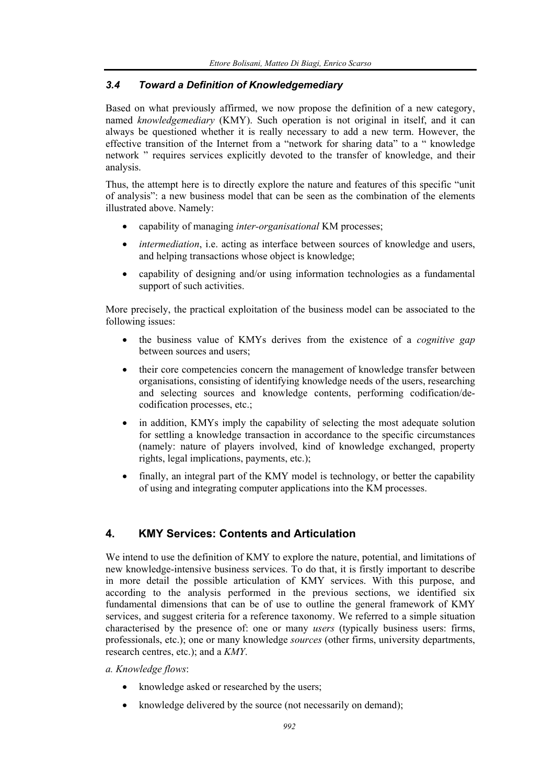### *3.4 Toward a Definition of Knowledgemediary*

Based on what previously affirmed, we now propose the definition of a new category, named *knowledgemediary* (KMY). Such operation is not original in itself, and it can always be questioned whether it is really necessary to add a new term. However, the effective transition of the Internet from a "network for sharing data" to a " knowledge network " requires services explicitly devoted to the transfer of knowledge, and their analysis.

Thus, the attempt here is to directly explore the nature and features of this specific "unit of analysis": a new business model that can be seen as the combination of the elements illustrated above. Namely:

- capability of managing *inter-organisational* KM processes;
- *intermediation*, i.e. acting as interface between sources of knowledge and users, and helping transactions whose object is knowledge;
- capability of designing and/or using information technologies as a fundamental support of such activities.

More precisely, the practical exploitation of the business model can be associated to the following issues:

- the business value of KMYs derives from the existence of a *cognitive gap* between sources and users;
- their core competencies concern the management of knowledge transfer between organisations, consisting of identifying knowledge needs of the users, researching and selecting sources and knowledge contents, performing codification/decodification processes, etc.;
- in addition, KMYs imply the capability of selecting the most adequate solution for settling a knowledge transaction in accordance to the specific circumstances (namely: nature of players involved, kind of knowledge exchanged, property rights, legal implications, payments, etc.);
- finally, an integral part of the KMY model is technology, or better the capability of using and integrating computer applications into the KM processes.

## **4. KMY Services: Contents and Articulation**

We intend to use the definition of KMY to explore the nature, potential, and limitations of new knowledge-intensive business services. To do that, it is firstly important to describe in more detail the possible articulation of KMY services. With this purpose, and according to the analysis performed in the previous sections, we identified six fundamental dimensions that can be of use to outline the general framework of KMY services, and suggest criteria for a reference taxonomy. We referred to a simple situation characterised by the presence of: one or many *users* (typically business users: firms, professionals, etc.); one or many knowledge *sources* (other firms, university departments, research centres, etc.); and a *KMY*.

*a. Knowledge flows*:

- knowledge asked or researched by the users;
- knowledge delivered by the source (not necessarily on demand);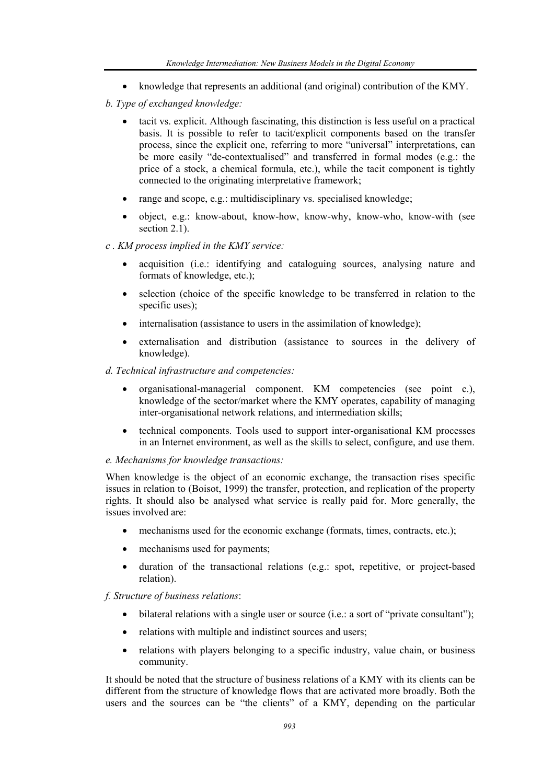- knowledge that represents an additional (and original) contribution of the KMY.
- *b. Type of exchanged knowledge:* 
	- tacit vs. explicit. Although fascinating, this distinction is less useful on a practical basis. It is possible to refer to tacit/explicit components based on the transfer process, since the explicit one, referring to more "universal" interpretations, can be more easily "de-contextualised" and transferred in formal modes (e.g.: the price of a stock, a chemical formula, etc.), while the tacit component is tightly connected to the originating interpretative framework;
	- range and scope, e.g.: multidisciplinary vs. specialised knowledge;
	- object, e.g.: know-about, know-how, know-why, know-who, know-with (see section 2.1).

#### *c . KM process implied in the KMY service:*

- acquisition (i.e.: identifying and cataloguing sources, analysing nature and formats of knowledge, etc.);
- selection (choice of the specific knowledge to be transferred in relation to the specific uses);
- internalisation (assistance to users in the assimilation of knowledge);
- externalisation and distribution (assistance to sources in the delivery of knowledge).
- *d. Technical infrastructure and competencies:* 
	- organisational-managerial component. KM competencies (see point c.), knowledge of the sector/market where the KMY operates, capability of managing inter-organisational network relations, and intermediation skills;
	- technical components. Tools used to support inter-organisational KM processes in an Internet environment, as well as the skills to select, configure, and use them.

#### *e. Mechanisms for knowledge transactions:*

When knowledge is the object of an economic exchange, the transaction rises specific issues in relation to (Boisot, 1999) the transfer, protection, and replication of the property rights. It should also be analysed what service is really paid for. More generally, the issues involved are:

- mechanisms used for the economic exchange (formats, times, contracts, etc.);
- mechanisms used for payments;
- duration of the transactional relations (e.g.: spot, repetitive, or project-based relation).

*f. Structure of business relations*:

- bilateral relations with a single user or source (i.e.: a sort of "private consultant");
- relations with multiple and indistinct sources and users;
- relations with players belonging to a specific industry, value chain, or business community.

It should be noted that the structure of business relations of a KMY with its clients can be different from the structure of knowledge flows that are activated more broadly. Both the users and the sources can be "the clients" of a KMY, depending on the particular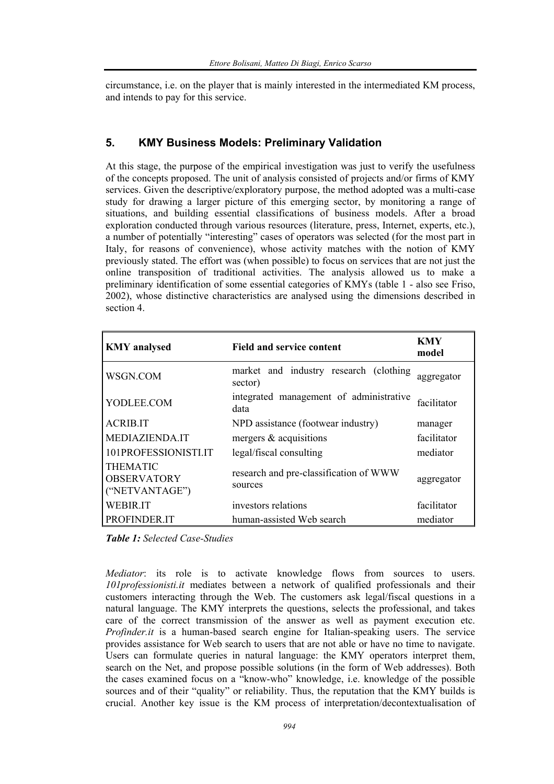circumstance, i.e. on the player that is mainly interested in the intermediated KM process, and intends to pay for this service.

### **5. KMY Business Models: Preliminary Validation**

At this stage, the purpose of the empirical investigation was just to verify the usefulness of the concepts proposed. The unit of analysis consisted of projects and/or firms of KMY services. Given the descriptive/exploratory purpose, the method adopted was a multi-case study for drawing a larger picture of this emerging sector, by monitoring a range of situations, and building essential classifications of business models. After a broad exploration conducted through various resources (literature, press, Internet, experts, etc.), a number of potentially "interesting" cases of operators was selected (for the most part in Italy, for reasons of convenience), whose activity matches with the notion of KMY previously stated. The effort was (when possible) to focus on services that are not just the online transposition of traditional activities. The analysis allowed us to make a preliminary identification of some essential categories of KMYs (table 1 - also see Friso, 2002), whose distinctive characteristics are analysed using the dimensions described in section 4.

| <b>KMY</b> analysed                                     | <b>Field and service content</b>                  | <b>KMY</b><br>model |
|---------------------------------------------------------|---------------------------------------------------|---------------------|
| WSGN.COM                                                | market and industry research (clothing<br>sector) | aggregator          |
| YODLEE.COM                                              | integrated management of administrative<br>data   | facilitator         |
| <b>ACRIB.IT</b>                                         | NPD assistance (footwear industry)                | manager             |
| <b>MEDIAZIENDA.IT</b>                                   | mergers $\&$ acquisitions                         | facilitator         |
| 101PROFESSIONISTI.IT                                    | legal/fiscal consulting                           | mediator            |
| <b>THEMATIC</b><br><b>OBSERVATORY</b><br>("NETVANTAGE") | research and pre-classification of WWW<br>sources | aggregator          |
| <b>WEBIR.IT</b>                                         | investors relations                               | facilitator         |
| PROFINDER.IT                                            | human-assisted Web search                         | mediator            |

*Table 1: Selected Case-Studies* 

*Mediator*: its role is to activate knowledge flows from sources to users. *101professionisti.it* mediates between a network of qualified professionals and their customers interacting through the Web. The customers ask legal/fiscal questions in a natural language. The KMY interprets the questions, selects the professional, and takes care of the correct transmission of the answer as well as payment execution etc. *Profinder.it* is a human-based search engine for Italian-speaking users. The service provides assistance for Web search to users that are not able or have no time to navigate. Users can formulate queries in natural language: the KMY operators interpret them, search on the Net, and propose possible solutions (in the form of Web addresses). Both the cases examined focus on a "know-who" knowledge, i.e. knowledge of the possible sources and of their "quality" or reliability. Thus, the reputation that the KMY builds is crucial. Another key issue is the KM process of interpretation/decontextualisation of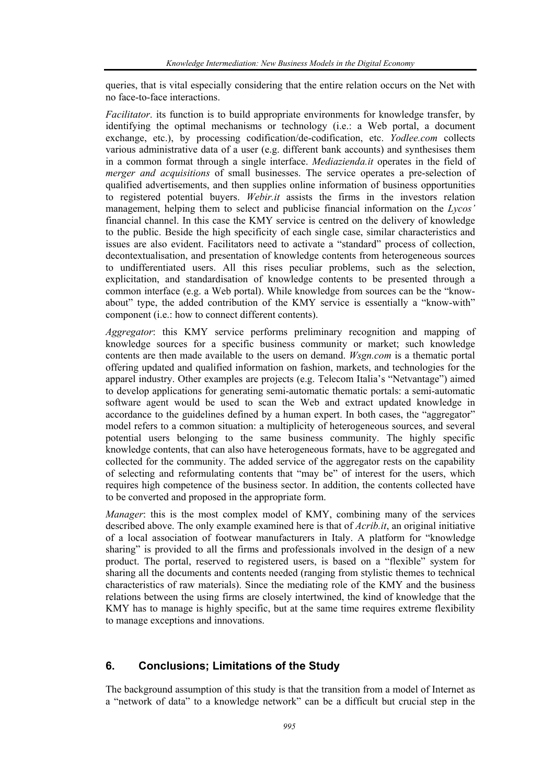queries, that is vital especially considering that the entire relation occurs on the Net with no face-to-face interactions.

*Facilitator*. its function is to build appropriate environments for knowledge transfer, by identifying the optimal mechanisms or technology (i.e.: a Web portal, a document exchange, etc.), by processing codification/de-codification, etc. *Yodlee.com* collects various administrative data of a user (e.g. different bank accounts) and synthesises them in a common format through a single interface. *Mediazienda.it* operates in the field of *merger and acquisitions* of small businesses. The service operates a pre-selection of qualified advertisements, and then supplies online information of business opportunities to registered potential buyers. *Webir.it* assists the firms in the investors relation management, helping them to select and publicise financial information on the *Lycos'* financial channel. In this case the KMY service is centred on the delivery of knowledge to the public. Beside the high specificity of each single case, similar characteristics and issues are also evident. Facilitators need to activate a "standard" process of collection, decontextualisation, and presentation of knowledge contents from heterogeneous sources to undifferentiated users. All this rises peculiar problems, such as the selection, explicitation, and standardisation of knowledge contents to be presented through a common interface (e.g. a Web portal). While knowledge from sources can be the "knowabout" type, the added contribution of the KMY service is essentially a "know-with" component (i.e.: how to connect different contents).

*Aggregator*: this KMY service performs preliminary recognition and mapping of knowledge sources for a specific business community or market; such knowledge contents are then made available to the users on demand. *Wsgn.com* is a thematic portal offering updated and qualified information on fashion, markets, and technologies for the apparel industry. Other examples are projects (e.g. Telecom Italia's "Netvantage") aimed to develop applications for generating semi-automatic thematic portals: a semi-automatic software agent would be used to scan the Web and extract updated knowledge in accordance to the guidelines defined by a human expert. In both cases, the "aggregator" model refers to a common situation: a multiplicity of heterogeneous sources, and several potential users belonging to the same business community. The highly specific knowledge contents, that can also have heterogeneous formats, have to be aggregated and collected for the community. The added service of the aggregator rests on the capability of selecting and reformulating contents that "may be" of interest for the users, which requires high competence of the business sector. In addition, the contents collected have to be converted and proposed in the appropriate form.

*Manager*: this is the most complex model of KMY, combining many of the services described above. The only example examined here is that of *Acrib.it*, an original initiative of a local association of footwear manufacturers in Italy. A platform for "knowledge sharing" is provided to all the firms and professionals involved in the design of a new product. The portal, reserved to registered users, is based on a "flexible" system for sharing all the documents and contents needed (ranging from stylistic themes to technical characteristics of raw materials). Since the mediating role of the KMY and the business relations between the using firms are closely intertwined, the kind of knowledge that the KMY has to manage is highly specific, but at the same time requires extreme flexibility to manage exceptions and innovations.

#### **6. Conclusions; Limitations of the Study**

The background assumption of this study is that the transition from a model of Internet as a "network of data" to a knowledge network" can be a difficult but crucial step in the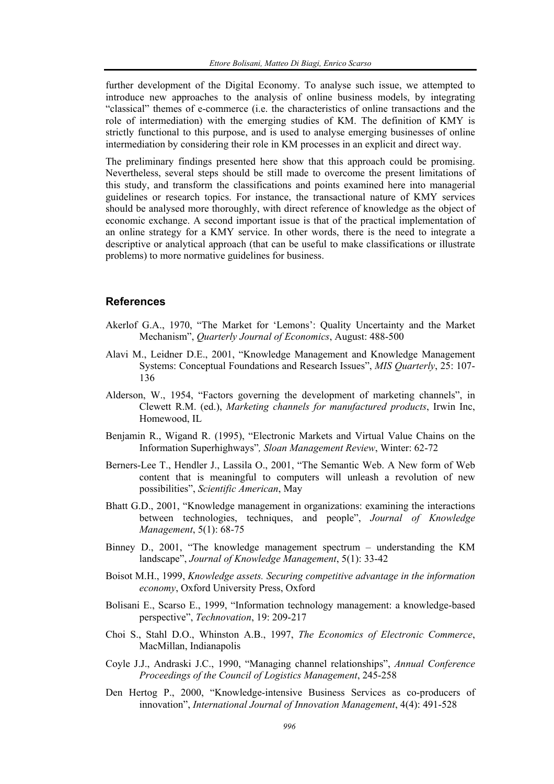further development of the Digital Economy. To analyse such issue, we attempted to introduce new approaches to the analysis of online business models, by integrating "classical" themes of e-commerce (i.e. the characteristics of online transactions and the role of intermediation) with the emerging studies of KM. The definition of KMY is strictly functional to this purpose, and is used to analyse emerging businesses of online intermediation by considering their role in KM processes in an explicit and direct way.

The preliminary findings presented here show that this approach could be promising. Nevertheless, several steps should be still made to overcome the present limitations of this study, and transform the classifications and points examined here into managerial guidelines or research topics. For instance, the transactional nature of KMY services should be analysed more thoroughly, with direct reference of knowledge as the object of economic exchange. A second important issue is that of the practical implementation of an online strategy for a KMY service. In other words, there is the need to integrate a descriptive or analytical approach (that can be useful to make classifications or illustrate problems) to more normative guidelines for business.

#### **References**

- Akerlof G.A., 1970, "The Market for 'Lemons': Quality Uncertainty and the Market Mechanism", *Quarterly Journal of Economics*, August: 488-500
- Alavi M., Leidner D.E., 2001, "Knowledge Management and Knowledge Management Systems: Conceptual Foundations and Research Issues", *MIS Quarterly*, 25: 107- 136
- Alderson, W., 1954, "Factors governing the development of marketing channels", in Clewett R.M. (ed.), *Marketing channels for manufactured products*, Irwin Inc, Homewood, IL
- Benjamin R., Wigand R. (1995), "Electronic Markets and Virtual Value Chains on the Information Superhighways"*, Sloan Management Review*, Winter: 62-72
- Berners-Lee T., Hendler J., Lassila O., 2001, "The Semantic Web. A New form of Web content that is meaningful to computers will unleash a revolution of new possibilities", *Scientific American*, May
- Bhatt G.D., 2001, "Knowledge management in organizations: examining the interactions between technologies, techniques, and people", *Journal of Knowledge Management*, 5(1): 68-75
- Binney D., 2001, "The knowledge management spectrum understanding the KM landscape", *Journal of Knowledge Management*, 5(1): 33-42
- Boisot M.H., 1999, *Knowledge assets. Securing competitive advantage in the information economy*, Oxford University Press, Oxford
- Bolisani E., Scarso E., 1999, "Information technology management: a knowledge-based perspective", *Technovation*, 19: 209-217
- Choi S., Stahl D.O., Whinston A.B., 1997, *The Economics of Electronic Commerce*, MacMillan, Indianapolis
- Coyle J.J., Andraski J.C., 1990, "Managing channel relationships", *Annual Conference Proceedings of the Council of Logistics Management*, 245-258
- Den Hertog P., 2000, "Knowledge-intensive Business Services as co-producers of innovation", *International Journal of Innovation Management*, 4(4): 491-528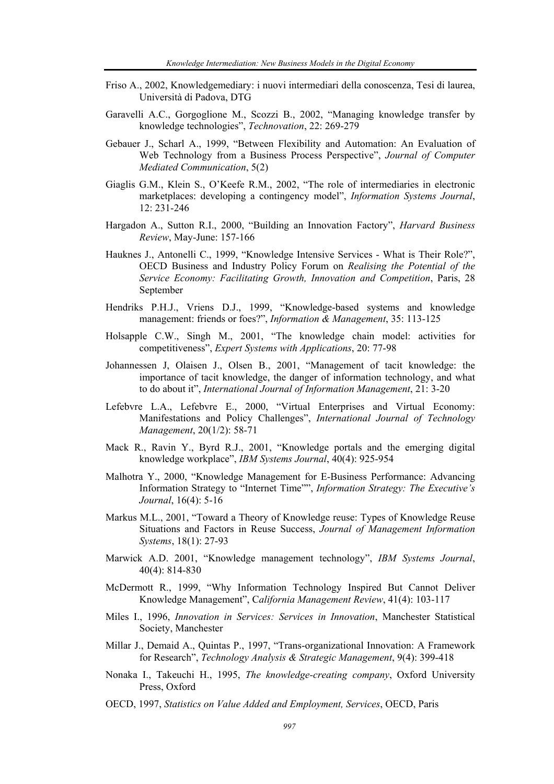- Friso A., 2002, Knowledgemediary: i nuovi intermediari della conoscenza, Tesi di laurea, Università di Padova, DTG
- Garavelli A.C., Gorgoglione M., Scozzi B., 2002, "Managing knowledge transfer by knowledge technologies", *Technovation*, 22: 269-279
- Gebauer J., Scharl A., 1999, "Between Flexibility and Automation: An Evaluation of Web Technology from a Business Process Perspective", *Journal of Computer Mediated Communication*, 5(2)
- Giaglis G.M., Klein S., O'Keefe R.M., 2002, "The role of intermediaries in electronic marketplaces: developing a contingency model", *Information Systems Journal*, 12: 231-246
- Hargadon A., Sutton R.I., 2000, "Building an Innovation Factory", *Harvard Business Review*, May-June: 157-166
- Hauknes J., Antonelli C., 1999, "Knowledge Intensive Services What is Their Role?", OECD Business and Industry Policy Forum on *Realising the Potential of the Service Economy: Facilitating Growth, Innovation and Competition*, Paris, 28 September
- Hendriks P.H.J., Vriens D.J., 1999, "Knowledge-based systems and knowledge management: friends or foes?", *Information & Management*, 35: 113-125
- Holsapple C.W., Singh M., 2001, "The knowledge chain model: activities for competitiveness", *Expert Systems with Applications*, 20: 77-98
- Johannessen J, Olaisen J., Olsen B., 2001, "Management of tacit knowledge: the importance of tacit knowledge, the danger of information technology, and what to do about it", *International Journal of Information Management*, 21: 3-20
- Lefebvre L.A., Lefebvre E., 2000, "Virtual Enterprises and Virtual Economy: Manifestations and Policy Challenges", *International Journal of Technology Management*, 20(1/2): 58-71
- Mack R., Ravin Y., Byrd R.J., 2001, "Knowledge portals and the emerging digital knowledge workplace", *IBM Systems Journal*, 40(4): 925-954
- Malhotra Y., 2000, "Knowledge Management for E-Business Performance: Advancing Information Strategy to "Internet Time"", *Information Strategy: The Executive's Journal*, 16(4): 5-16
- Markus M.L., 2001, "Toward a Theory of Knowledge reuse: Types of Knowledge Reuse Situations and Factors in Reuse Success, *Journal of Management Information Systems*, 18(1): 27-93
- Marwick A.D. 2001, "Knowledge management technology", *IBM Systems Journal*, 40(4): 814-830
- McDermott R., 1999, "Why Information Technology Inspired But Cannot Deliver Knowledge Management", C*alifornia Management Review*, 41(4): 103-117
- Miles I., 1996, *Innovation in Services: Services in Innovation*, Manchester Statistical Society, Manchester
- Millar J., Demaid A., Quintas P., 1997, "Trans-organizational Innovation: A Framework for Research", *Technology Analysis & Strategic Management*, 9(4): 399-418
- Nonaka I., Takeuchi H., 1995, *The knowledge-creating company*, Oxford University Press, Oxford
- OECD, 1997, *Statistics on Value Added and Employment, Services*, OECD, Paris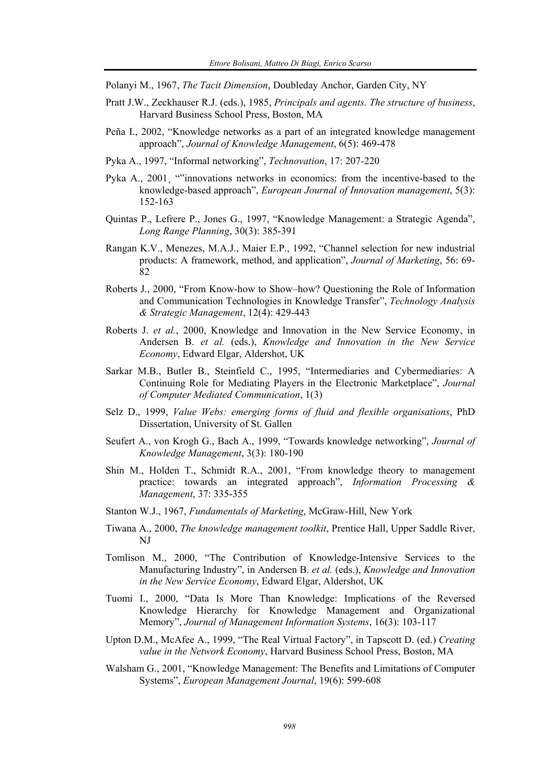Polanyi M., 1967, *The Tacit Dimension*, Doubleday Anchor, Garden City, NY

- Pratt J.W., Zeckhauser R.J. (eds.), 1985, *Principals and agents. The structure of business*, Harvard Business School Press, Boston, MA
- Peña I., 2002, "Knowledge networks as a part of an integrated knowledge management approach", *Journal of Knowledge Management*, 6(5): 469-478
- Pyka A., 1997, "Informal networking", *Technovation*, 17: 207-220
- Pyka A., 2001, ""innovations networks in economics: from the incentive-based to the knowledge-based approach", *European Journal of Innovation management*, 5(3): 152-163
- Quintas P., Lefrere P., Jones G., 1997, "Knowledge Management: a Strategic Agenda", *Long Range Planning*, 30(3): 385-391
- Rangan K.V., Menezes, M.A.J., Maier E.P., 1992, "Channel selection for new industrial products: A framework, method, and application", *Journal of Marketing*, 56: 69- 82
- Roberts J., 2000, "From Know-how to Show–how? Questioning the Role of Information and Communication Technologies in Knowledge Transfer", *Technology Analysis & Strategic Management*, 12(4): 429-443
- Roberts J. *et al.*, 2000, Knowledge and Innovation in the New Service Economy, in Andersen B. *et al.* (eds.), *Knowledge and Innovation in the New Service Economy*, Edward Elgar, Aldershot, UK
- Sarkar M.B., Butler B., Steinfield C., 1995, "Intermediaries and Cybermediaries: A Continuing Role for Mediating Players in the Electronic Marketplace", *Journal of Computer Mediated Communication*, 1(3)
- Selz D., 1999, *Value Webs: emerging forms of fluid and flexible organisations*, PhD Dissertation, University of St. Gallen
- Seufert A., von Krogh G., Bach A., 1999, "Towards knowledge networking", *Journal of Knowledge Management*, 3(3): 180-190
- Shin M., Holden T., Schmidt R.A., 2001, "From knowledge theory to management practice: towards an integrated approach", *Information Processing & Management*, 37: 335-355
- Stanton W.J., 1967, *Fundamentals of Marketing*, McGraw-Hill, New York
- Tiwana A., 2000, *The knowledge management toolkit*, Prentice Hall, Upper Saddle River, NJ
- Tomlison M., 2000, "The Contribution of Knowledge-Intensive Services to the Manufacturing Industry", in Andersen B. *et al.* (eds.), *Knowledge and Innovation in the New Service Economy*, Edward Elgar, Aldershot, UK
- Tuomi I., 2000, "Data Is More Than Knowledge: Implications of the Reversed Knowledge Hierarchy for Knowledge Management and Organizational Memory", *Journal of Management Information Systems*, 16(3): 103-117
- Upton D.M., McAfee A., 1999, "The Real Virtual Factory", in Tapscott D. (ed.) *Creating value in the Network Economy*, Harvard Business School Press, Boston, MA
- Walsham G., 2001, "Knowledge Management: The Benefits and Limitations of Computer Systems", *European Management Journal*, 19(6): 599-608